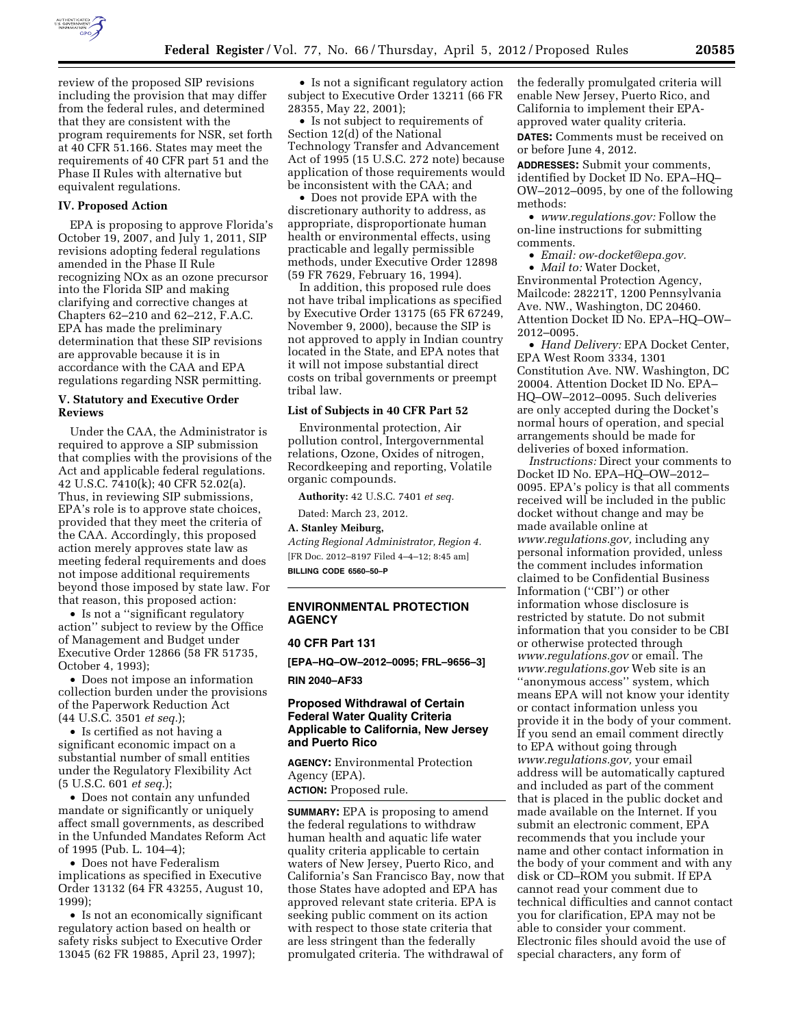

review of the proposed SIP revisions including the provision that may differ from the federal rules, and determined that they are consistent with the program requirements for NSR, set forth at 40 CFR 51.166. States may meet the requirements of 40 CFR part 51 and the Phase II Rules with alternative but equivalent regulations.

### **IV. Proposed Action**

EPA is proposing to approve Florida's October 19, 2007, and July 1, 2011, SIP revisions adopting federal regulations amended in the Phase II Rule recognizing NOx as an ozone precursor into the Florida SIP and making clarifying and corrective changes at Chapters 62–210 and 62–212, F.A.C. EPA has made the preliminary determination that these SIP revisions are approvable because it is in accordance with the CAA and EPA regulations regarding NSR permitting.

## **V. Statutory and Executive Order Reviews**

Under the CAA, the Administrator is required to approve a SIP submission that complies with the provisions of the Act and applicable federal regulations. 42 U.S.C. 7410(k); 40 CFR 52.02(a). Thus, in reviewing SIP submissions, EPA's role is to approve state choices, provided that they meet the criteria of the CAA. Accordingly, this proposed action merely approves state law as meeting federal requirements and does not impose additional requirements beyond those imposed by state law. For that reason, this proposed action:

• Is not a ''significant regulatory action'' subject to review by the Office of Management and Budget under Executive Order 12866 (58 FR 51735, October 4, 1993);

• Does not impose an information collection burden under the provisions of the Paperwork Reduction Act (44 U.S.C. 3501 *et seq.*);

• Is certified as not having a significant economic impact on a substantial number of small entities under the Regulatory Flexibility Act (5 U.S.C. 601 *et seq.*);

• Does not contain any unfunded mandate or significantly or uniquely affect small governments, as described in the Unfunded Mandates Reform Act of 1995 (Pub. L. 104–4);

• Does not have Federalism implications as specified in Executive Order 13132 (64 FR 43255, August 10, 1999);

• Is not an economically significant regulatory action based on health or safety risks subject to Executive Order 13045 (62 FR 19885, April 23, 1997);

• Is not a significant regulatory action subject to Executive Order 13211 (66 FR 28355, May 22, 2001);

• Is not subject to requirements of Section 12(d) of the National Technology Transfer and Advancement Act of 1995 (15 U.S.C. 272 note) because application of those requirements would be inconsistent with the CAA; and

• Does not provide EPA with the discretionary authority to address, as appropriate, disproportionate human health or environmental effects, using practicable and legally permissible methods, under Executive Order 12898 (59 FR 7629, February 16, 1994).

In addition, this proposed rule does not have tribal implications as specified by Executive Order 13175 (65 FR 67249, November 9, 2000), because the SIP is not approved to apply in Indian country located in the State, and EPA notes that it will not impose substantial direct costs on tribal governments or preempt tribal law.

#### **List of Subjects in 40 CFR Part 52**

Environmental protection, Air pollution control, Intergovernmental relations, Ozone, Oxides of nitrogen, Recordkeeping and reporting, Volatile organic compounds.

**Authority:** 42 U.S.C. 7401 *et seq.* 

Dated: March 23, 2012.

### **A. Stanley Meiburg,**

*Acting Regional Administrator, Region 4.*  [FR Doc. 2012–8197 Filed 4–4–12; 8:45 am] **BILLING CODE 6560–50–P** 

# **ENVIRONMENTAL PROTECTION AGENCY**

### **40 CFR Part 131**

**[EPA–HQ–OW–2012–0095; FRL–9656–3]** 

**RIN 2040–AF33** 

### **Proposed Withdrawal of Certain Federal Water Quality Criteria Applicable to California, New Jersey and Puerto Rico**

**AGENCY:** Environmental Protection Agency (EPA).

**ACTION:** Proposed rule.

**SUMMARY:** EPA is proposing to amend the federal regulations to withdraw human health and aquatic life water quality criteria applicable to certain waters of New Jersey, Puerto Rico, and California's San Francisco Bay, now that those States have adopted and EPA has approved relevant state criteria. EPA is seeking public comment on its action with respect to those state criteria that are less stringent than the federally promulgated criteria. The withdrawal of

the federally promulgated criteria will enable New Jersey, Puerto Rico, and California to implement their EPAapproved water quality criteria.

**DATES:** Comments must be received on or before June 4, 2012.

**ADDRESSES:** Submit your comments, identified by Docket ID No. EPA–HQ– OW–2012–0095, by one of the following methods:

• *[www.regulations.gov:](http://www.regulations.gov)* Follow the on-line instructions for submitting comments.

• *Email: [ow-docket@epa.gov.](mailto:ow-docket@epa.gov)* 

• *Mail to:* Water Docket,

Environmental Protection Agency, Mailcode: 28221T, 1200 Pennsylvania Ave. NW., Washington, DC 20460. Attention Docket ID No. EPA–HQ–OW– 2012–0095.

• *Hand Delivery:* EPA Docket Center, EPA West Room 3334, 1301 Constitution Ave. NW. Washington, DC 20004. Attention Docket ID No. EPA– HQ–OW–2012–0095. Such deliveries are only accepted during the Docket's normal hours of operation, and special arrangements should be made for deliveries of boxed information.

*Instructions:* Direct your comments to Docket ID No. EPA–HQ–OW–2012– 0095. EPA's policy is that all comments received will be included in the public docket without change and may be made available online at *[www.regulations.gov,](http://www.regulations.gov)* including any personal information provided, unless the comment includes information claimed to be Confidential Business Information (''CBI'') or other information whose disclosure is restricted by statute. Do not submit information that you consider to be CBI or otherwise protected through *[www.regulations.gov](http://www.regulations.gov)* or email. The *[www.regulations.gov](http://www.regulations.gov)* Web site is an ''anonymous access'' system, which means EPA will not know your identity or contact information unless you provide it in the body of your comment. If you send an email comment directly to EPA without going through *[www.regulations.gov,](http://www.regulations.gov)* your email address will be automatically captured and included as part of the comment that is placed in the public docket and made available on the Internet. If you submit an electronic comment, EPA recommends that you include your name and other contact information in the body of your comment and with any disk or CD–ROM you submit. If EPA cannot read your comment due to technical difficulties and cannot contact you for clarification, EPA may not be able to consider your comment. Electronic files should avoid the use of special characters, any form of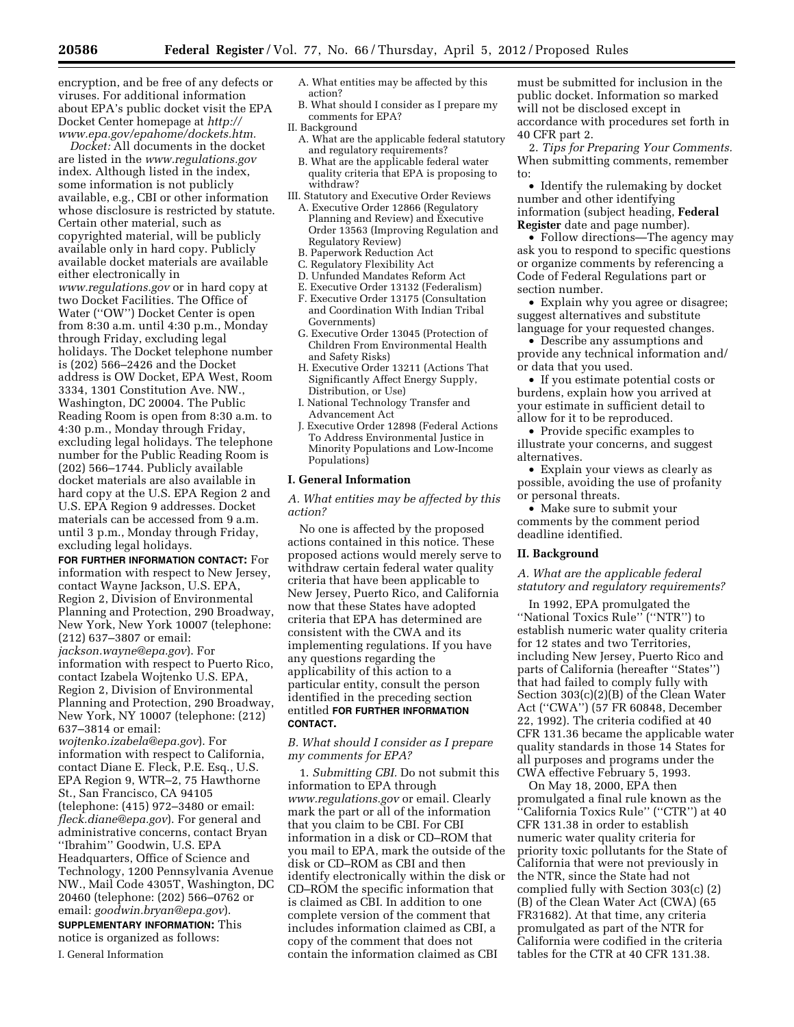encryption, and be free of any defects or viruses. For additional information about EPA's public docket visit the EPA Docket Center homepage at *[http://](http://www.epa.gov/epahome/dockets.htm) [www.epa.gov/epahome/dockets.htm.](http://www.epa.gov/epahome/dockets.htm)* 

*Docket:* All documents in the docket are listed in the *[www.regulations.gov](http://www.regulations.gov)*  index. Although listed in the index, some information is not publicly available, e.g., CBI or other information whose disclosure is restricted by statute. Certain other material, such as copyrighted material, will be publicly available only in hard copy. Publicly available docket materials are available either electronically in *[www.regulations.gov](http://www.regulations.gov)* or in hard copy at two Docket Facilities. The Office of Water (''OW'') Docket Center is open from 8:30 a.m. until 4:30 p.m., Monday through Friday, excluding legal holidays. The Docket telephone number is (202) 566–2426 and the Docket address is OW Docket, EPA West, Room 3334, 1301 Constitution Ave. NW., Washington, DC 20004. The Public Reading Room is open from 8:30 a.m. to 4:30 p.m., Monday through Friday, excluding legal holidays. The telephone number for the Public Reading Room is (202) 566–1744. Publicly available docket materials are also available in hard copy at the U.S. EPA Region 2 and U.S. EPA Region 9 addresses. Docket materials can be accessed from 9 a.m. until 3 p.m., Monday through Friday, excluding legal holidays.

**FOR FURTHER INFORMATION CONTACT:** For information with respect to New Jersey, contact Wayne Jackson, U.S. EPA, Region 2, Division of Environmental Planning and Protection, 290 Broadway, New York, New York 10007 (telephone: (212) 637–3807 or email: *[jackson.wayne@epa.gov](mailto:jackson.wayne@epa.gov)*). For information with respect to Puerto Rico, contact Izabela Wojtenko U.S. EPA, Region 2, Division of Environmental Planning and Protection, 290 Broadway, New York, NY 10007 (telephone: (212) 637–3814 or email:

*[wojtenko.izabela@epa.gov](mailto:wojtenko.izabela@epa.gov)*). For information with respect to California, contact Diane E. Fleck, P.E. Esq., U.S. EPA Region 9, WTR–2, 75 Hawthorne St., San Francisco, CA 94105 (telephone: (415) 972–3480 or email: *[fleck.diane@epa.gov](mailto:fleck.diane@epa.gov)*). For general and administrative concerns, contact Bryan ''Ibrahim'' Goodwin, U.S. EPA Headquarters, Office of Science and Technology, 1200 Pennsylvania Avenue NW., Mail Code 4305T, Washington, DC 20460 (telephone: (202) 566–0762 or email: *[goodwin.bryan@epa.gov](mailto:goodwin.bryan@epa.gov)*). **SUPPLEMENTARY INFORMATION:** This notice is organized as follows:

I. General Information

- A. What entities may be affected by this action?
- B. What should I consider as I prepare my comments for EPA?
- II. Background
- A. What are the applicable federal statutory and regulatory requirements?
- B. What are the applicable federal water quality criteria that EPA is proposing to withdraw?
- III. Statutory and Executive Order Reviews
	- A. Executive Order 12866 (Regulatory Planning and Review) and Executive Order 13563 (Improving Regulation and Regulatory Review)
	- B. Paperwork Reduction Act
	- C. Regulatory Flexibility Act
	- D. Unfunded Mandates Reform Act
	- E. Executive Order 13132 (Federalism)
	- F. Executive Order 13175 (Consultation and Coordination With Indian Tribal Governments)
	- G. Executive Order 13045 (Protection of Children From Environmental Health and Safety Risks)
	- H. Executive Order 13211 (Actions That Significantly Affect Energy Supply, Distribution, or Use)
	- I. National Technology Transfer and Advancement Act
	- J. Executive Order 12898 (Federal Actions To Address Environmental Justice in Minority Populations and Low-Income Populations)

#### **I. General Information**

*A. What entities may be affected by this action?* 

No one is affected by the proposed actions contained in this notice. These proposed actions would merely serve to withdraw certain federal water quality criteria that have been applicable to New Jersey, Puerto Rico, and California now that these States have adopted criteria that EPA has determined are consistent with the CWA and its implementing regulations. If you have any questions regarding the applicability of this action to a particular entity, consult the person identified in the preceding section entitled **FOR FURTHER INFORMATION CONTACT.** 

### *B. What should I consider as I prepare my comments for EPA?*

1. *Submitting CBI.* Do not submit this information to EPA through *[www.regulations.gov](http://www.regulations.gov)* or email. Clearly mark the part or all of the information that you claim to be CBI. For CBI information in a disk or CD–ROM that you mail to EPA, mark the outside of the disk or CD–ROM as CBI and then identify electronically within the disk or CD–ROM the specific information that is claimed as CBI. In addition to one complete version of the comment that includes information claimed as CBI, a copy of the comment that does not contain the information claimed as CBI

must be submitted for inclusion in the public docket. Information so marked will not be disclosed except in accordance with procedures set forth in 40 CFR part 2.

2. *Tips for Preparing Your Comments.*  When submitting comments, remember to:

• Identify the rulemaking by docket number and other identifying information (subject heading, **Federal Register** date and page number).

• Follow directions—The agency may ask you to respond to specific questions or organize comments by referencing a Code of Federal Regulations part or section number.

• Explain why you agree or disagree; suggest alternatives and substitute language for your requested changes.

• Describe any assumptions and provide any technical information and/ or data that you used.

• If you estimate potential costs or burdens, explain how you arrived at your estimate in sufficient detail to allow for it to be reproduced.

• Provide specific examples to illustrate your concerns, and suggest alternatives.

• Explain your views as clearly as possible, avoiding the use of profanity or personal threats.

• Make sure to submit your comments by the comment period deadline identified.

# **II. Background**

*A. What are the applicable federal statutory and regulatory requirements?* 

In 1992, EPA promulgated the ''National Toxics Rule'' (''NTR'') to establish numeric water quality criteria for 12 states and two Territories, including New Jersey, Puerto Rico and parts of California (hereafter ''States'') that had failed to comply fully with Section 303(c)(2)(B) of the Clean Water Act (''CWA'') (57 FR 60848, December 22, 1992). The criteria codified at 40 CFR 131.36 became the applicable water quality standards in those 14 States for all purposes and programs under the CWA effective February 5, 1993.

On May 18, 2000, EPA then promulgated a final rule known as the ''California Toxics Rule'' (''CTR'') at 40 CFR 131.38 in order to establish numeric water quality criteria for priority toxic pollutants for the State of California that were not previously in the NTR, since the State had not complied fully with Section 303(c) (2) (B) of the Clean Water Act (CWA) (65 FR31682). At that time, any criteria promulgated as part of the NTR for California were codified in the criteria tables for the CTR at 40 CFR 131.38.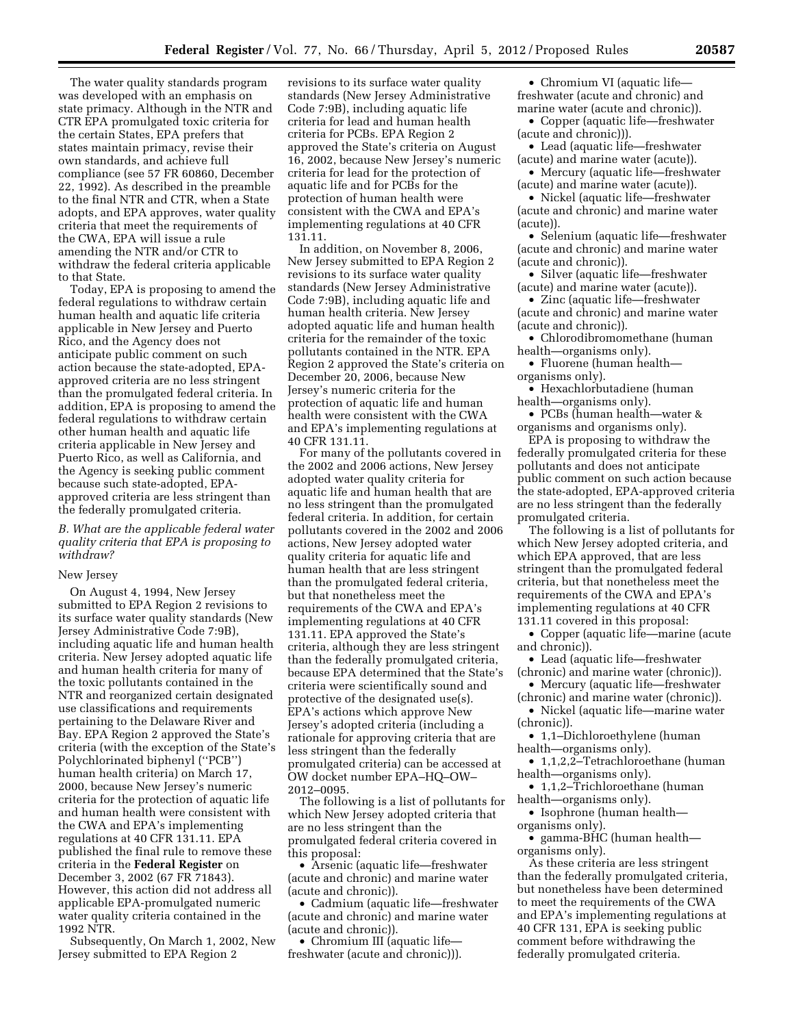The water quality standards program was developed with an emphasis on state primacy. Although in the NTR and CTR EPA promulgated toxic criteria for the certain States, EPA prefers that states maintain primacy, revise their own standards, and achieve full compliance (see 57 FR 60860, December 22, 1992). As described in the preamble to the final NTR and CTR, when a State adopts, and EPA approves, water quality criteria that meet the requirements of the CWA, EPA will issue a rule amending the NTR and/or CTR to withdraw the federal criteria applicable to that State.

Today, EPA is proposing to amend the federal regulations to withdraw certain human health and aquatic life criteria applicable in New Jersey and Puerto Rico, and the Agency does not anticipate public comment on such action because the state-adopted, EPAapproved criteria are no less stringent than the promulgated federal criteria. In addition, EPA is proposing to amend the federal regulations to withdraw certain other human health and aquatic life criteria applicable in New Jersey and Puerto Rico, as well as California, and the Agency is seeking public comment because such state-adopted, EPAapproved criteria are less stringent than the federally promulgated criteria.

*B. What are the applicable federal water quality criteria that EPA is proposing to withdraw?* 

# New Jersey

On August 4, 1994, New Jersey submitted to EPA Region 2 revisions to its surface water quality standards (New Jersey Administrative Code 7:9B), including aquatic life and human health criteria. New Jersey adopted aquatic life and human health criteria for many of the toxic pollutants contained in the NTR and reorganized certain designated use classifications and requirements pertaining to the Delaware River and Bay. EPA Region 2 approved the State's criteria (with the exception of the State's Polychlorinated biphenyl (''PCB'') human health criteria) on March 17, 2000, because New Jersey's numeric criteria for the protection of aquatic life and human health were consistent with the CWA and EPA's implementing regulations at 40 CFR 131.11. EPA published the final rule to remove these criteria in the **Federal Register** on December 3, 2002 (67 FR 71843). However, this action did not address all applicable EPA-promulgated numeric water quality criteria contained in the 1992 NTR.

Subsequently, On March 1, 2002, New Jersey submitted to EPA Region 2

revisions to its surface water quality standards (New Jersey Administrative Code 7:9B), including aquatic life criteria for lead and human health criteria for PCBs. EPA Region 2 approved the State's criteria on August 16, 2002, because New Jersey's numeric criteria for lead for the protection of aquatic life and for PCBs for the protection of human health were consistent with the CWA and EPA's implementing regulations at 40 CFR 131.11.

In addition, on November 8, 2006, New Jersey submitted to EPA Region 2 revisions to its surface water quality standards (New Jersey Administrative Code 7:9B), including aquatic life and human health criteria. New Jersey adopted aquatic life and human health criteria for the remainder of the toxic pollutants contained in the NTR. EPA Region 2 approved the State's criteria on December 20, 2006, because New Jersey's numeric criteria for the protection of aquatic life and human health were consistent with the CWA and EPA's implementing regulations at 40 CFR 131.11.

For many of the pollutants covered in the 2002 and 2006 actions, New Jersey adopted water quality criteria for aquatic life and human health that are no less stringent than the promulgated federal criteria. In addition, for certain pollutants covered in the 2002 and 2006 actions, New Jersey adopted water quality criteria for aquatic life and human health that are less stringent than the promulgated federal criteria, but that nonetheless meet the requirements of the CWA and EPA's implementing regulations at 40 CFR 131.11. EPA approved the State's criteria, although they are less stringent than the federally promulgated criteria, because EPA determined that the State's criteria were scientifically sound and protective of the designated use(s). EPA's actions which approve New Jersey's adopted criteria (including a rationale for approving criteria that are less stringent than the federally promulgated criteria) can be accessed at OW docket number EPA–HQ–OW– 2012–0095.

The following is a list of pollutants for which New Jersey adopted criteria that are no less stringent than the promulgated federal criteria covered in this proposal:

• Arsenic (aquatic life—freshwater (acute and chronic) and marine water (acute and chronic)).

• Cadmium (aquatic life—freshwater (acute and chronic) and marine water (acute and chronic)).

• Chromium III (aquatic life freshwater (acute and chronic))).

• Chromium VI (aquatic life freshwater (acute and chronic) and marine water (acute and chronic)).

• Copper (aquatic life—freshwater (acute and chronic))).

• Lead (aquatic life—freshwater (acute) and marine water (acute)).

• Mercury (aquatic life—freshwater (acute) and marine water (acute)).

• Nickel (aquatic life—freshwater (acute and chronic) and marine water (acute)).

• Selenium (aquatic life—freshwater (acute and chronic) and marine water (acute and chronic)).

• Silver (aquatic life—freshwater (acute) and marine water (acute)).

• Zinc (aquatic life—freshwater (acute and chronic) and marine water (acute and chronic)).

• Chlorodibromomethane (human health—organisms only).

• Fluorene (human health organisms only).

• Hexachlorbutadiene (human health—organisms only).

• PCBs (human health—water & organisms and organisms only).

EPA is proposing to withdraw the federally promulgated criteria for these pollutants and does not anticipate public comment on such action because the state-adopted, EPA-approved criteria are no less stringent than the federally promulgated criteria.

The following is a list of pollutants for which New Jersey adopted criteria, and which EPA approved, that are less stringent than the promulgated federal criteria, but that nonetheless meet the requirements of the CWA and EPA's implementing regulations at 40 CFR 131.11 covered in this proposal:

• Copper (aquatic life—marine (acute and chronic)).

• Lead (aquatic life—freshwater (chronic) and marine water (chronic)).

• Mercury (aquatic life—freshwater (chronic) and marine water (chronic)).

• Nickel (aquatic life—marine water (chronic)).

• 1,1–Dichloroethylene (human health—organisms only).

• 1,1,2,2–Tetrachloroethane (human health—organisms only).

• 1,1,2–Trichloroethane (human health—organisms only).

• Isophrone (human health organisms only).

• gamma-BHC (human health—

organisms only).

As these criteria are less stringent than the federally promulgated criteria, but nonetheless have been determined to meet the requirements of the CWA and EPA's implementing regulations at 40 CFR 131, EPA is seeking public comment before withdrawing the federally promulgated criteria.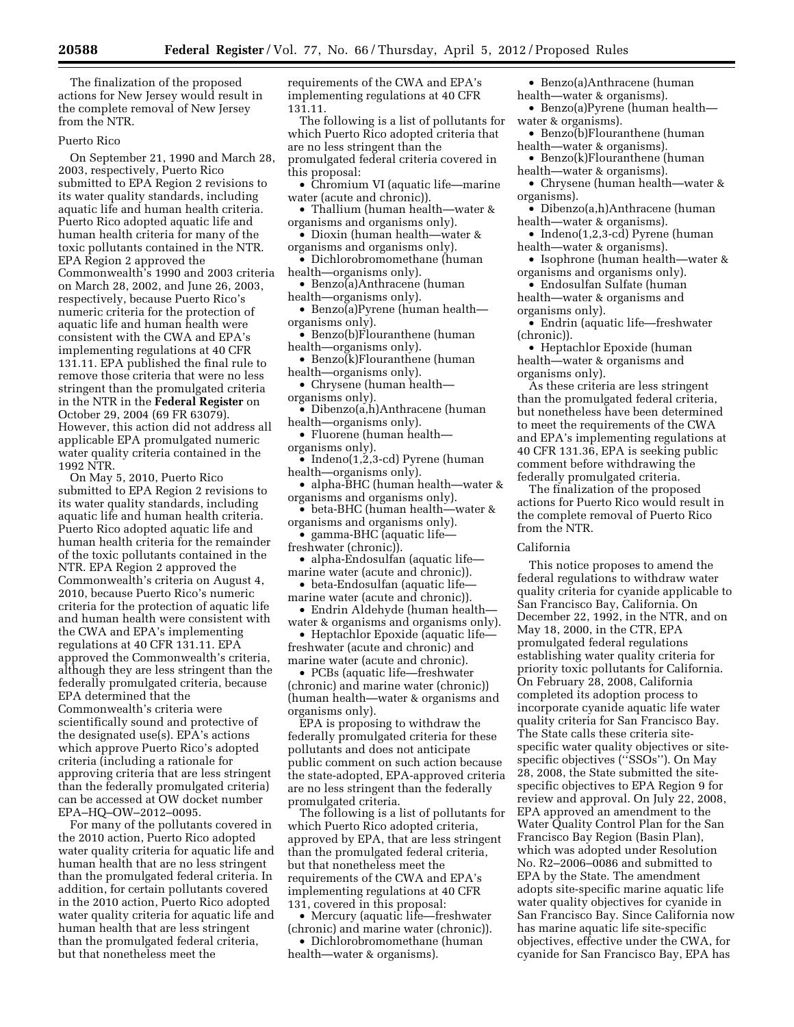The finalization of the proposed actions for New Jersey would result in the complete removal of New Jersey from the NTR.

#### Puerto Rico

On September 21, 1990 and March 28, 2003, respectively, Puerto Rico submitted to EPA Region 2 revisions to its water quality standards, including aquatic life and human health criteria. Puerto Rico adopted aquatic life and human health criteria for many of the toxic pollutants contained in the NTR. EPA Region 2 approved the Commonwealth's 1990 and 2003 criteria on March 28, 2002, and June 26, 2003, respectively, because Puerto Rico's numeric criteria for the protection of aquatic life and human health were consistent with the CWA and EPA's implementing regulations at 40 CFR 131.11. EPA published the final rule to remove those criteria that were no less stringent than the promulgated criteria in the NTR in the **Federal Register** on October 29, 2004 (69 FR 63079). However, this action did not address all applicable EPA promulgated numeric water quality criteria contained in the 1992 NTR.

On May 5, 2010, Puerto Rico submitted to EPA Region 2 revisions to its water quality standards, including aquatic life and human health criteria. Puerto Rico adopted aquatic life and human health criteria for the remainder of the toxic pollutants contained in the NTR. EPA Region 2 approved the Commonwealth's criteria on August 4, 2010, because Puerto Rico's numeric criteria for the protection of aquatic life and human health were consistent with the CWA and EPA's implementing regulations at 40 CFR 131.11. EPA approved the Commonwealth's criteria, although they are less stringent than the federally promulgated criteria, because EPA determined that the Commonwealth's criteria were scientifically sound and protective of the designated use(s). EPA's actions which approve Puerto Rico's adopted criteria (including a rationale for approving criteria that are less stringent than the federally promulgated criteria) can be accessed at OW docket number EPA–HQ–OW–2012–0095.

For many of the pollutants covered in the 2010 action, Puerto Rico adopted water quality criteria for aquatic life and human health that are no less stringent than the promulgated federal criteria. In addition, for certain pollutants covered in the 2010 action, Puerto Rico adopted water quality criteria for aquatic life and human health that are less stringent than the promulgated federal criteria, but that nonetheless meet the

requirements of the CWA and EPA's implementing regulations at 40 CFR 131.11.

The following is a list of pollutants for which Puerto Rico adopted criteria that are no less stringent than the promulgated federal criteria covered in this proposal:

- Chromium VI (aquatic life—marine water (acute and chronic)).
- Thallium (human health—water & organisms and organisms only).
- Dioxin (human health—water & organisms and organisms only).
- Dichlorobromomethane (human health—organisms only).
- Benzo(a)Anthracene (human health—organisms only).
- Benzo(a)Pyrene (human health organisms only).
- Benzo(b)Flouranthene (human health—organisms only).
- Benzo(k)Flouranthene (human health—organisms only).
- Chrysene (human health organisms only).
- Dibenzo(a,h)Anthracene (human health—organisms only).
- Fluorene (human health organisms only).
- Indeno $(1, 2, 3$ -cd) Pyrene (human health—organisms only).
- alpha-BHC (human health—water & organisms and organisms only).
- beta-BHC (human health—water & organisms and organisms only).
- gamma-BHC (aquatic life freshwater (chronic)).
- alpha-Endosulfan (aquatic life marine water (acute and chronic)).
- beta-Endosulfan (aquatic life—
- marine water (acute and chronic)). • Endrin Aldehyde (human health-
- water & organisms and organisms only).
- Heptachlor Epoxide (aquatic lifefreshwater (acute and chronic) and marine water (acute and chronic).

• PCBs (aquatic life—freshwater (chronic) and marine water (chronic)) (human health—water & organisms and organisms only).

EPA is proposing to withdraw the federally promulgated criteria for these pollutants and does not anticipate public comment on such action because the state-adopted, EPA-approved criteria are no less stringent than the federally promulgated criteria.

The following is a list of pollutants for which Puerto Rico adopted criteria, approved by EPA, that are less stringent than the promulgated federal criteria, but that nonetheless meet the requirements of the CWA and EPA's implementing regulations at 40 CFR 131, covered in this proposal:

• Mercury (aquatic life—freshwater (chronic) and marine water (chronic)).

• Dichlorobromomethane (human health—water & organisms).

• Benzo(a)Anthracene (human health—water & organisms).

- Benzo(a)Pyrene (human health water & organisms).
- Benzo(b)Flouranthene (human
- health—water & organisms). • Benzo(k)Flouranthene (human
- health—water & organisms). • Chrysene (human health—water & organisms).
- Dibenzo(a,h)Anthracene (human health—water & organisms).
- Indeno(1,2,3-cd) Pyrene (human health—water & organisms).
- Isophrone (human health—water & organisms and organisms only).
- Endosulfan Sulfate (human health—water & organisms and organisms only).
- Endrin (aquatic life—freshwater (chronic)).

• Heptachlor Epoxide (human health—water & organisms and organisms only).

As these criteria are less stringent than the promulgated federal criteria, but nonetheless have been determined to meet the requirements of the CWA and EPA's implementing regulations at 40 CFR 131.36, EPA is seeking public comment before withdrawing the federally promulgated criteria.

The finalization of the proposed actions for Puerto Rico would result in the complete removal of Puerto Rico from the NTR.

#### California

This notice proposes to amend the federal regulations to withdraw water quality criteria for cyanide applicable to San Francisco Bay, California. On December 22, 1992, in the NTR, and on May 18, 2000, in the CTR, EPA promulgated federal regulations establishing water quality criteria for priority toxic pollutants for California. On February 28, 2008, California completed its adoption process to incorporate cyanide aquatic life water quality criteria for San Francisco Bay. The State calls these criteria sitespecific water quality objectives or sitespecific objectives ("SSOs"). On May 28, 2008, the State submitted the sitespecific objectives to EPA Region 9 for review and approval. On July 22, 2008, EPA approved an amendment to the Water Quality Control Plan for the San Francisco Bay Region (Basin Plan), which was adopted under Resolution No. R2–2006–0086 and submitted to EPA by the State. The amendment adopts site-specific marine aquatic life water quality objectives for cyanide in San Francisco Bay. Since California now has marine aquatic life site-specific objectives, effective under the CWA, for cyanide for San Francisco Bay, EPA has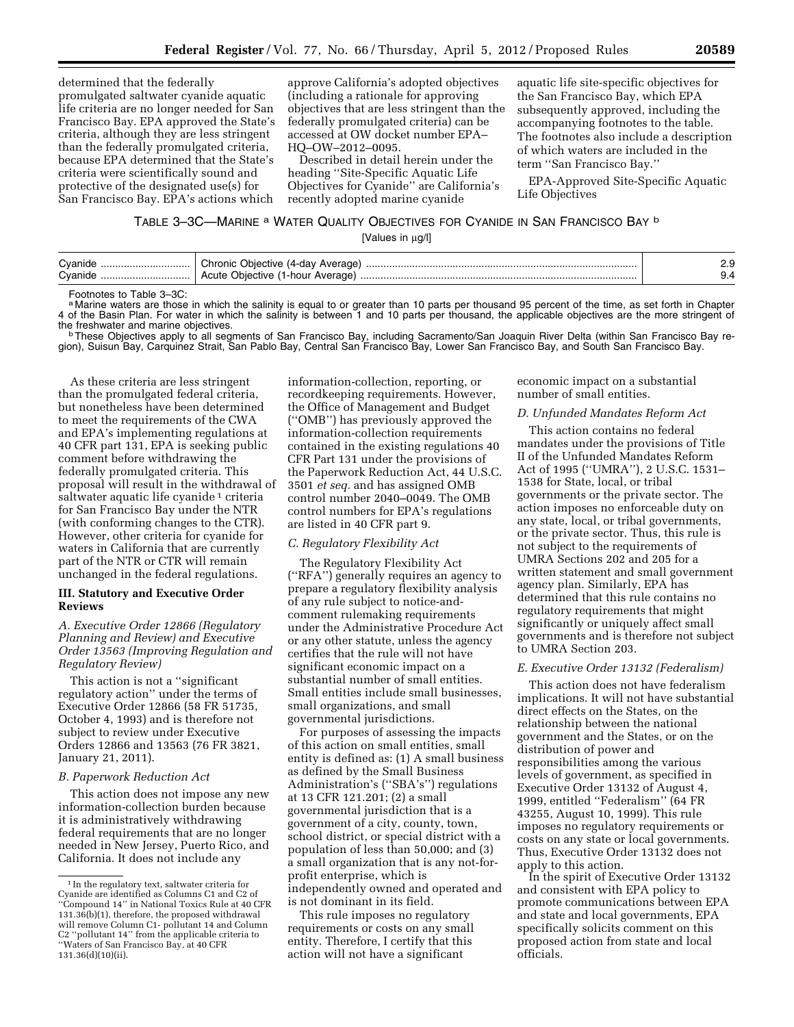determined that the federally promulgated saltwater cyanide aquatic life criteria are no longer needed for San Francisco Bay. EPA approved the State's criteria, although they are less stringent than the federally promulgated criteria, because EPA determined that the State's criteria were scientifically sound and protective of the designated use(s) for San Francisco Bay. EPA's actions which

approve California's adopted objectives (including a rationale for approving objectives that are less stringent than the federally promulgated criteria) can be accessed at OW docket number EPA– HQ–OW–2012–0095.

Described in detail herein under the heading ''Site-Specific Aquatic Life Objectives for Cyanide'' are California's recently adopted marine cyanide

aquatic life site-specific objectives for the San Francisco Bay, which EPA subsequently approved, including the accompanying footnotes to the table. The footnotes also include a description of which waters are included in the term ''San Francisco Bay.''

EPA-Approved Site-Specific Aquatic Life Objectives

### TABLE 3–3C—MARINE a WATER QUALITY OBJECTIVES FOR CYANIDE IN SAN FRANCISCO BAY b

[Values in μg/l]

| Cvanide<br>Chronic Objective (4-day Average)<br>Cvanide<br>. Acute Objective (1-hour<br>Average) | <u></u> |
|--------------------------------------------------------------------------------------------------|---------|
|--------------------------------------------------------------------------------------------------|---------|

Footnotes to Table 3–3C:

a Marine waters are those in which the salinity is equal to or greater than 10 parts per thousand 95 percent of the time, as set forth in Chapter 4 of the Basin Plan. For water in which the salinity is between 1 and 10 parts per thousand, the applicable objectives are the more stringent of

the freshwater and marine objectives.<br>bThese Objectives apply to all segments of San Francisco Bay, including Sacramento/San Joaquin River Delta (within San Francisco Bay re-<br>bThese Objectives apply to all segments of San gion), Suisun Bay, Carquinez Strait, San Pablo Bay, Central San Francisco Bay, Lower San Francisco Bay, and South San Francisco Bay.

As these criteria are less stringent than the promulgated federal criteria, but nonetheless have been determined to meet the requirements of the CWA and EPA's implementing regulations at 40 CFR part 131, EPA is seeking public comment before withdrawing the federally promulgated criteria. This proposal will result in the withdrawal of saltwater aquatic life cyanide<sup>1</sup> criteria for San Francisco Bay under the NTR (with conforming changes to the CTR). However, other criteria for cyanide for waters in California that are currently part of the NTR or CTR will remain unchanged in the federal regulations.

#### **III. Statutory and Executive Order Reviews**

# *A. Executive Order 12866 (Regulatory Planning and Review) and Executive Order 13563 (Improving Regulation and Regulatory Review)*

This action is not a ''significant regulatory action'' under the terms of Executive Order 12866 (58 FR 51735, October 4, 1993) and is therefore not subject to review under Executive Orders 12866 and 13563 (76 FR 3821, January 21, 2011).

#### *B. Paperwork Reduction Act*

This action does not impose any new information-collection burden because it is administratively withdrawing federal requirements that are no longer needed in New Jersey, Puerto Rico, and California. It does not include any

information-collection, reporting, or recordkeeping requirements. However, the Office of Management and Budget (''OMB'') has previously approved the information-collection requirements contained in the existing regulations 40 CFR Part 131 under the provisions of the Paperwork Reduction Act, 44 U.S.C. 3501 *et seq.* and has assigned OMB control number 2040–0049. The OMB control numbers for EPA's regulations are listed in 40 CFR part 9.

### *C. Regulatory Flexibility Act*

The Regulatory Flexibility Act (''RFA'') generally requires an agency to prepare a regulatory flexibility analysis of any rule subject to notice-andcomment rulemaking requirements under the Administrative Procedure Act or any other statute, unless the agency certifies that the rule will not have significant economic impact on a substantial number of small entities. Small entities include small businesses, small organizations, and small governmental jurisdictions.

For purposes of assessing the impacts of this action on small entities, small entity is defined as: (1) A small business as defined by the Small Business Administration's (''SBA's'') regulations at 13 CFR 121.201; (2) a small governmental jurisdiction that is a government of a city, county, town, school district, or special district with a population of less than 50,000; and (3) a small organization that is any not-forprofit enterprise, which is independently owned and operated and is not dominant in its field.

This rule imposes no regulatory requirements or costs on any small entity. Therefore, I certify that this action will not have a significant

economic impact on a substantial number of small entities.

### *D. Unfunded Mandates Reform Act*

This action contains no federal mandates under the provisions of Title II of the Unfunded Mandates Reform Act of 1995 (''UMRA''), 2 U.S.C. 1531– 1538 for State, local, or tribal governments or the private sector. The action imposes no enforceable duty on any state, local, or tribal governments, or the private sector. Thus, this rule is not subject to the requirements of UMRA Sections 202 and 205 for a written statement and small government agency plan. Similarly, EPA has determined that this rule contains no regulatory requirements that might significantly or uniquely affect small governments and is therefore not subject to UMRA Section 203.

#### *E. Executive Order 13132 (Federalism)*

This action does not have federalism implications. It will not have substantial direct effects on the States, on the relationship between the national government and the States, or on the distribution of power and responsibilities among the various levels of government, as specified in Executive Order 13132 of August 4, 1999, entitled ''Federalism'' (64 FR 43255, August 10, 1999). This rule imposes no regulatory requirements or costs on any state or local governments. Thus, Executive Order 13132 does not apply to this action.

In the spirit of Executive Order 13132 and consistent with EPA policy to promote communications between EPA and state and local governments, EPA specifically solicits comment on this proposed action from state and local officials.

<sup>1</sup> In the regulatory text, saltwater criteria for Cyanide are identified as Columns C1 and C2 of ''Compound 14'' in National Toxics Rule at 40 CFR 131.36(b)(1), therefore, the proposed withdrawal will remove Column C1- pollutant 14 and Column C2 ''pollutant 14'' from the applicable criteria to ''Waters of San Francisco Bay, at 40 CFR 131.36(d)(10)(ii).